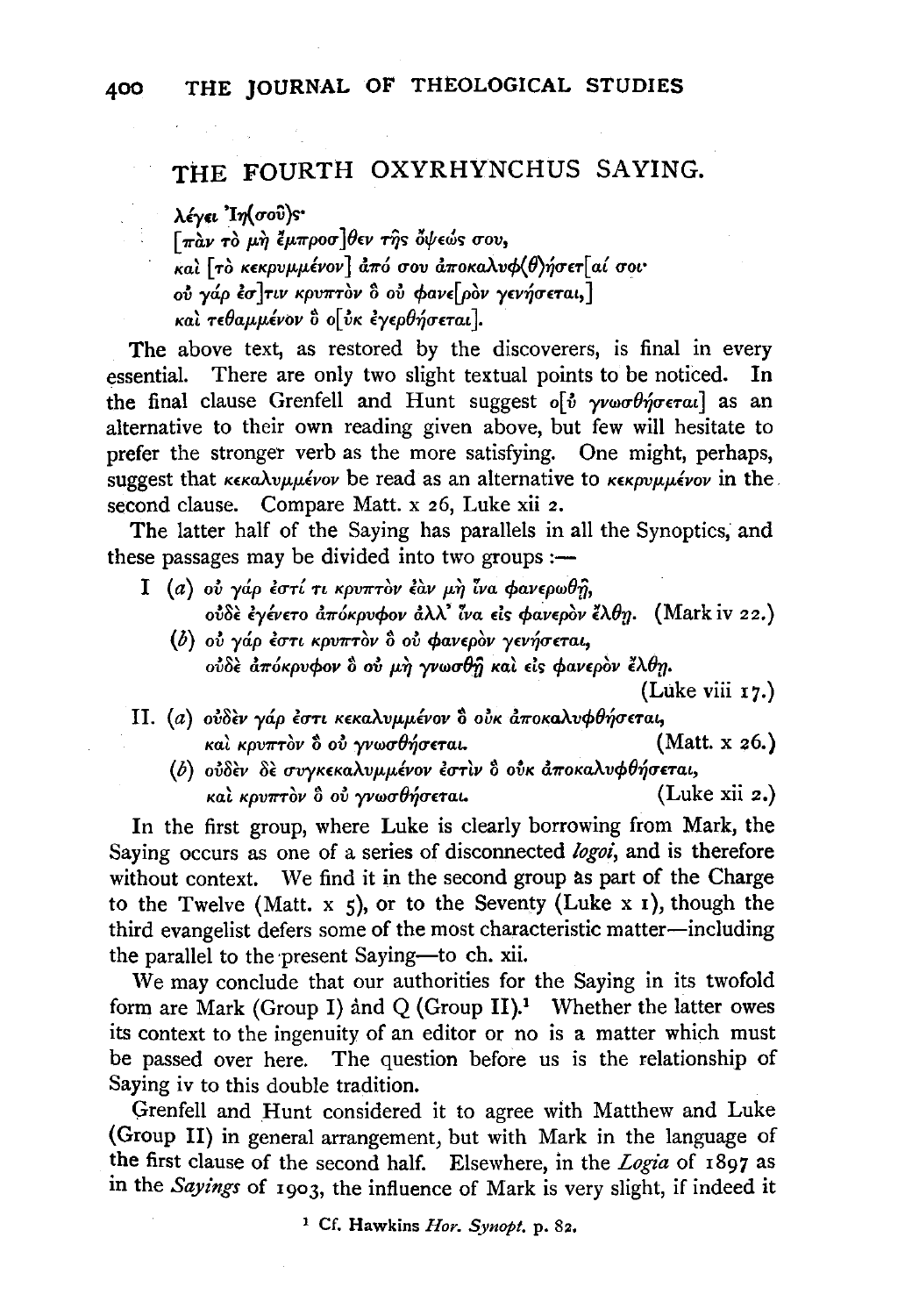## THE FOURTH OXYRHYNCHUS SAYING.

λέγει Ιη (σού)ς·  $\lceil \pi \hat{a} \nu \tau \hat{o} \mu \hat{\eta} \tilde{\epsilon} \mu \pi \rho o \sigma \rceil \theta \epsilon \nu \tau \hat{\eta}$ s όψεώs σου, και [το κεκρυμμένον] από σου αποκαλυφ(θ)ήσετ[αί σοι ού γάρ έσ]τιν κρυπτον δ ού φανε[ρον γενήσεται,] και τεθαμμένον ο ο ύκ εγερθήσεται.

The above text, as restored by the discoverers, is final in every essential. There are only two slight textual points to be noticed. In the final clause Grenfell and Hunt suggest ο ύ γνωσθήσεται] as an alternative to their own reading given above, but few will hesitate to prefer the stronger verb as the more satisfying. One might, perhaps, suggest that  $\kappa \epsilon \kappa a \lambda \nu \mu \mu \epsilon \nu \nu$  be read as an alternative to  $\kappa \epsilon \kappa \rho \nu \mu \mu \epsilon \nu \nu \nu$  in the second clause. Compare Matt. x 26, Luke xii 2.

The latter half of the Saying has parallels in all the Synoptics, and these passages may be divided into two groups :-

- I (a) ού γάρ έστί τι κρυπτον έαν μη ίνα φανερωθή, ούδε έγένετο απόκρυφον άλλ' ίνα είς φανερον έλθη. (Mark iv 22.)
	- (b) ού γάρ έστι κρυπτον δ ού φανερον γενήσεται, ούδε απόκρυφον δ ού μη γνωσθή και είς φανερον έλθη.

(Luke viii 17.)

- II. (a) ούδεν γάρ έστι κεκαλυμμένον δ ούκ άποκαλυφθήσεται, (Matt. x 26.) και κρυπτον δ ού γνωσθήσεται.
	- (b) ούδεν δε συγκεκαλυμμένον έστιν δ ούκ αποκαλυφθήσεται, και κρυπτον ο ού γνωσθήσεται.  $(Luke xii z.)$

In the first group, where Luke is clearly borrowing from Mark, the Saying occurs as one of a series of disconnected logoi, and is therefore without context. We find it in the second group as part of the Charge to the Twelve (Matt.  $x$  5), or to the Seventy (Luke  $x$  1), though the third evangelist defers some of the most characteristic matter-including the parallel to the present Saying-to ch. xii.

We may conclude that our authorities for the Saying in its twofold form are Mark (Group I) and Q (Group II).<sup>1</sup> Whether the latter owes its context to the ingenuity of an editor or no is a matter which must be passed over here. The question before us is the relationship of Saying iv to this double tradition.

Grenfell and Hunt considered it to agree with Matthew and Luke (Group II) in general arrangement, but with Mark in the language of the first clause of the second half. Elsewhere, in the Logia of 1897 as in the Sayings of 1903, the influence of Mark is very slight, if indeed it

<sup>&</sup>lt;sup>1</sup> Cf. Hawkins Hor. Synopt. p. 82.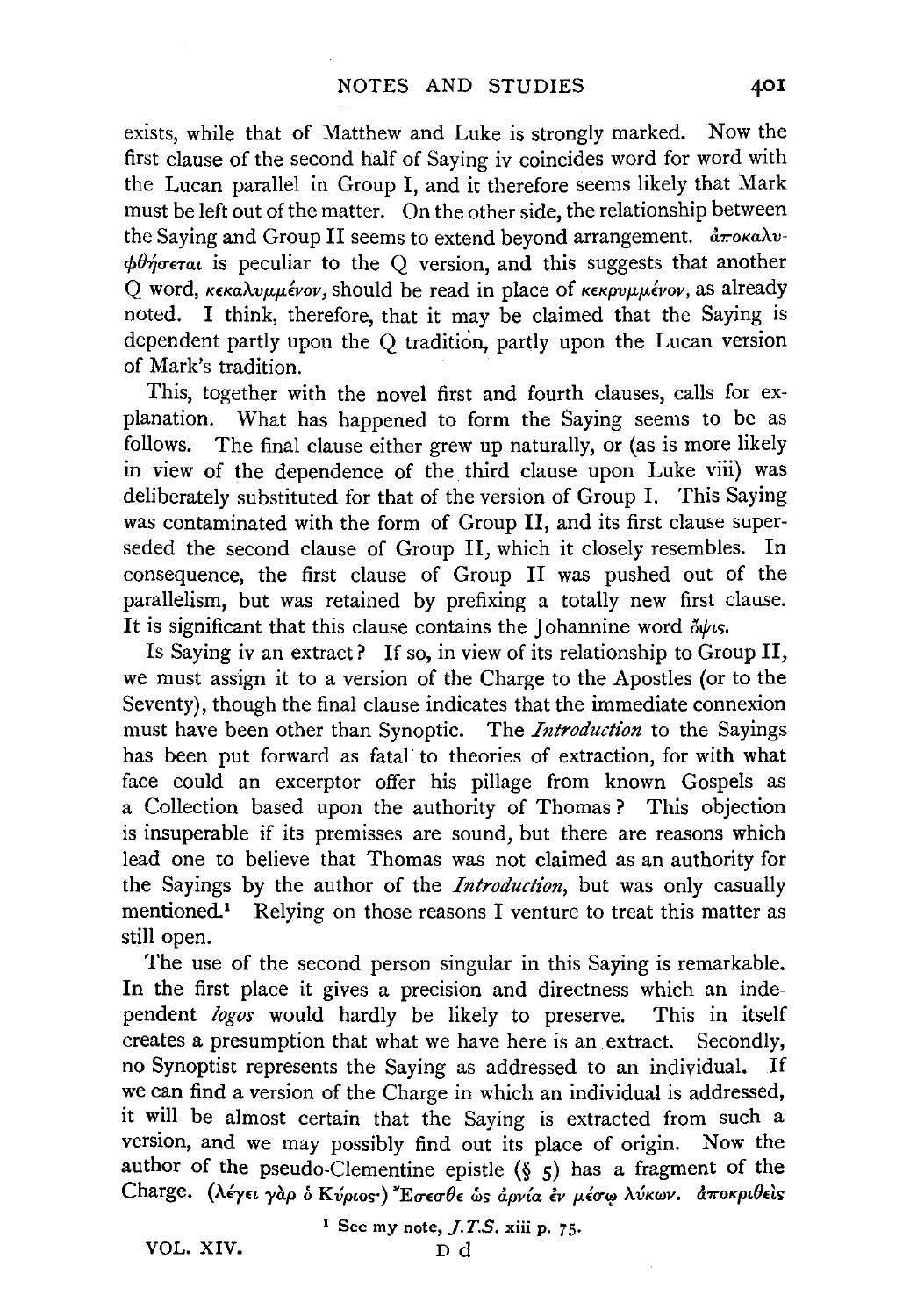exists, while that of Matthew and Luke is strongly marked. Now the first clause of the second half of Saying iv coincides word for word with the Lucan parallel in Group I, and it therefore seems likely that Mark must be left out of the matter. On the other side, the relationship between the Saying and Group II seems to extend beyond arrangement.  $\frac{\partial \pi}{\partial x}$ *αποκαλν*- $\phi\theta\eta$ oeral is peculiar to the Q version, and this suggests that another Q word, *κεκαλυμμένον*, should be read in place of *κεκρυμμένον*, as already noted. I think, therefore, that it may be claimed that the Saying is dependent partly upon the Q tradition, partly upon the Lucan version of Mark's tradition.

This, together with the novel first and fourth clauses, calls for explanation. What has happened to form the Saying seems to be as follows. The final clause either grew up naturally, or (as is more likely in view of the dependence of the third clause upon Luke viii) was deliberately substituted for that of the version of Group I. This Saying was contaminated with the form of Group II, and its first clause superseded the second clause of Group II, which it closely resembles. In consequence, the first clause of Group II was pushed out of the parallelism, but was retained by prefixing a totally new first clause. It is significant that this clause contains the Johannine word  $\delta \psi$ *is.* 

Is Saying iv an extract? If so, in view of its relationship to Group II, we must assign it to a version of the Charge to the Apostles (or to the Seventy), though the final clause indicates that the immediate connexion must have been other than Synoptic. The *Introduction* to the Sayings has been put forward as fatal· to theories of extraction, for with what face could an excerptor offer his pillage from known Gospels as a Collection based upon the authority of Thomas ? This objection is insuperable if its premisses are sound, but there are reasons which lead one to believe that Thomas was not claimed as an authority for the Sayings by the author of the *Introduction,* but was only casually mentioned.1 Relying on those reasons I venture to treat this matter as still open.

The use of the second person singular in this Saying is remarkable. In the first place it gives a precision and directness which an independent *logos* would hardly be likely to preserve. This in itself creates a presumption that what we have here is an extract. Secondly, no Synoptist represents the Saying as addressed to an individual. If we can find a version of the Charge in which an individual is addressed, it will be almost certain that the Saying is extracted from such a version, and we may possibly find out its place of origin. Now the author of the pseudo-Clementine epistle  $(\S \S)$  has a fragment of the Charge. (λέγει γαρ ο Κύριος·) Έσεσθε ως αρνία έν μέσω λύκων. αποκριθείς

1 See my note, *J.T.S.* xiii p. 75·

VOL. XIV. Dd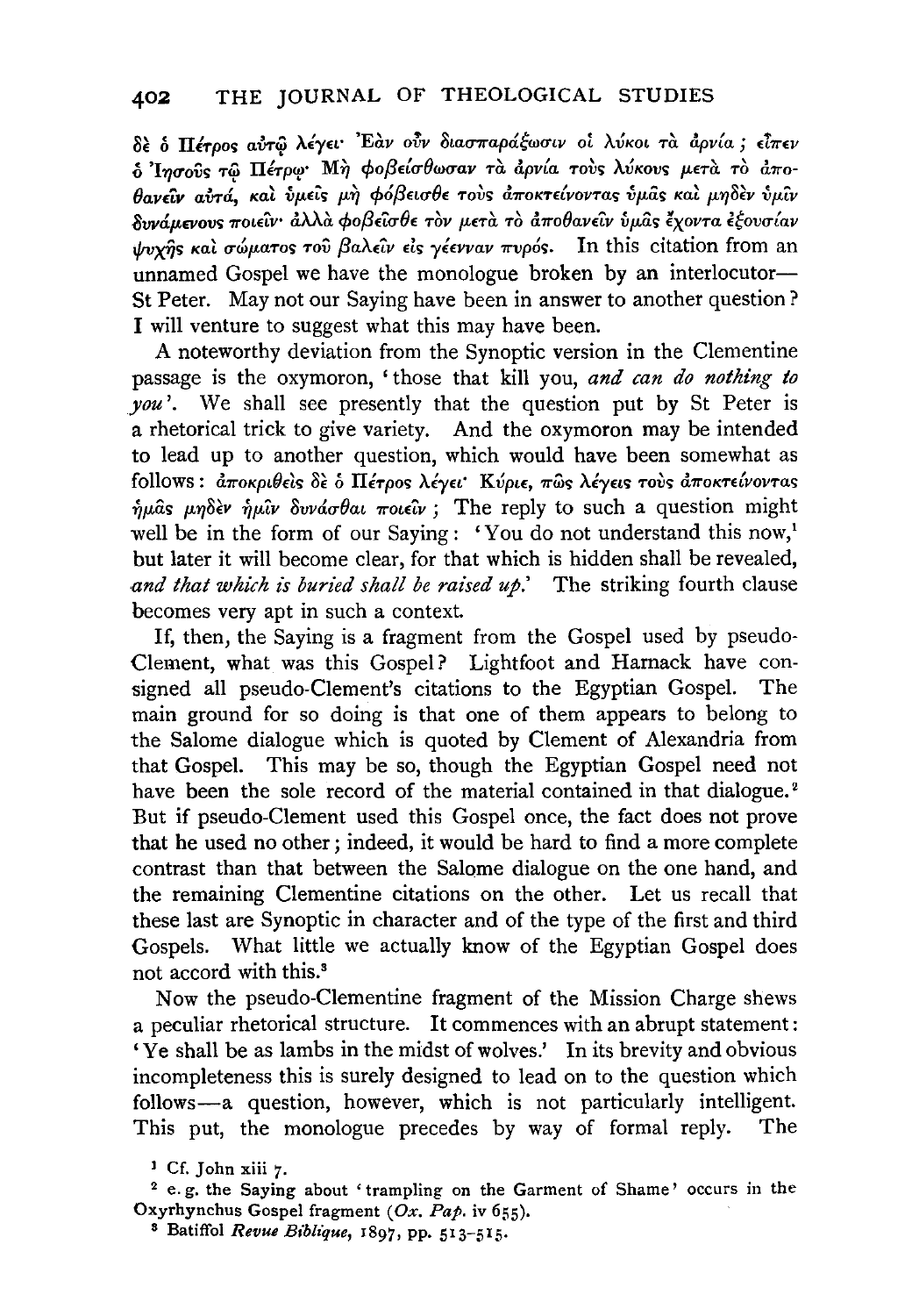δε δ Πέτρος αύτω λέγει 'Εάν ούν διασπαράξωσιν οι λύκοι τα άρνία; είπεν δ Ίησούς τω Πέτρω Μή φοβείσθωσαν τα άρνία τους λύκους μετα το άποθανείν αύτά, και ύμεις μη φόβεισθε τους αποκτείνοντας ύμας και μηδεν ύμιν δυνάμενους ποιείν· άλλα φοβείσθε τον μετα το αποθανείν ύμως έχοντα εξουσίαν ψυχής και σώματος του βαλείν είς γέενναν πυρός. In this citation from an unnamed Gospel we have the monologue broken by an interlocutor-St Peter. May not our Saying have been in answer to another question? I will venture to suggest what this may have been.

A noteworthy deviation from the Synoptic version in the Clementine passage is the oxymoron, 'those that kill you, and can do nothing to  $you'$ . We shall see presently that the question put by St Peter is a rhetorical trick to give variety. And the oxymoron may be intended to lead up to another question, which would have been somewhat as follows: αποκριθείς δε ο Πέτρος λέγει Κύριε, πως λέγεις τους αποκτείνοντας ήμας μηδεν ήμιν δυνάσθαι ποιείν; The reply to such a question might well be in the form of our Saying: 'You do not understand this now,' but later it will become clear, for that which is hidden shall be revealed, and that which is buried shall be raised  $up$ . The striking fourth clause becomes very apt in such a context.

If, then, the Saying is a fragment from the Gospel used by pseudo-Clement, what was this Gospel? Lightfoot and Harnack have consigned all pseudo-Clement's citations to the Egyptian Gospel. The main ground for so doing is that one of them appears to belong to the Salome dialogue which is quoted by Clement of Alexandria from that Gospel. This may be so, though the Egyptian Gospel need not have been the sole record of the material contained in that dialogue.<sup>2</sup> But if pseudo-Clement used this Gospel once, the fact does not prove that he used no other; indeed, it would be hard to find a more complete contrast than that between the Salome dialogue on the one hand, and the remaining Clementine citations on the other. Let us recall that these last are Synoptic in character and of the type of the first and third Gospels. What little we actually know of the Egyptian Gospel does not accord with this.<sup>3</sup>

Now the pseudo-Clementine fragment of the Mission Charge shews a peculiar rhetorical structure. It commences with an abrupt statement: 'Ye shall be as lambs in the midst of wolves.' In its brevity and obvious incompleteness this is surely designed to lead on to the question which follows-a question, however, which is not particularly intelligent. This put, the monologue precedes by way of formal reply. The

<sup>2</sup> e.g. the Saying about 'trampling on the Garment of Shame' occurs in the Oxyrhynchus Gospel fragment (Ox. Pap. iv 655).

<sup>3</sup> Batiffol Revue Biblique, 1897, pp. 513-515.

<sup>&</sup>lt;sup>1</sup> Cf. John xiii 7.